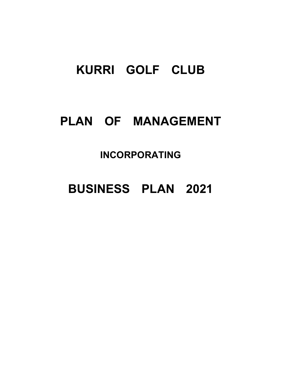# KURRI GOLF CLUB

# PLAN OF MANAGEMENT

## INCORPORATING

# BUSINESS PLAN 2021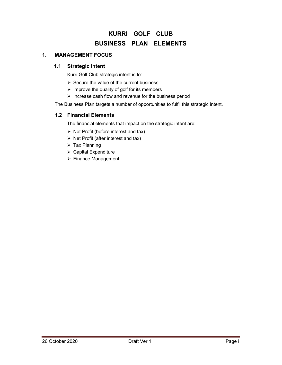## KURRI GOLF CLUB BUSINESS PLAN ELEMENTS

#### 1. MANAGEMENT FOCUS

#### 1.1 Strategic Intent

Kurri Golf Club strategic intent is to:

- $\triangleright$  Secure the value of the current business
- $\triangleright$  Improve the quality of golf for its members
- $\triangleright$  Increase cash flow and revenue for the business period

The Business Plan targets a number of opportunities to fulfil this strategic intent.

#### 1.2 Financial Elements

The financial elements that impact on the strategic intent are:

- $\triangleright$  Net Profit (before interest and tax)
- $\triangleright$  Net Profit (after interest and tax)
- $\triangleright$  Tax Planning
- Capital Expenditure
- ▶ Finance Management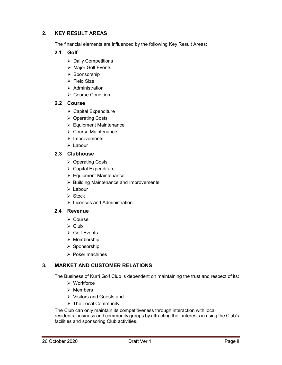#### 2. KEY RESULT AREAS

The financial elements are influenced by the following Key Result Areas:

#### 2.1 Golf

- $\triangleright$  Daily Competitions
- $\triangleright$  Major Golf Events
- $\triangleright$  Sponsorship
- $\triangleright$  Field Size
- $\triangleright$  Administration
- **≻ Course Condition**

#### 2.2 Course

- $\triangleright$  Capital Expenditure
- **▶ Operating Costs**
- $\triangleright$  Equipment Maintenance
- Course Maintenance
- $\triangleright$  Improvements
- $\triangleright$  Labour

#### 2.3 Clubhouse

- ▶ Operating Costs
- $\triangleright$  Capital Expenditure
- $\triangleright$  Equipment Maintenance
- $\triangleright$  Building Maintenance and Improvements
- Labour
- $\triangleright$  Stock
- $\triangleright$  Licences and Administration

#### 2.4 Revenue

- $\triangleright$  Course
- $\triangleright$  Club
- $\triangleright$  Golf Events
- $\triangleright$  Membership
- $\triangleright$  Sponsorship
- $\triangleright$  Poker machines

#### 3. MARKET AND CUSTOMER RELATIONS

The Business of Kurri Golf Club is dependent on maintaining the trust and respect of its:

- Workforce
- $\triangleright$  Members
- Visitors and Guests and
- $\triangleright$  The Local Community

The Club can only maintain its competitiveness through interaction with local residents, business and community groups by attracting their interests in using the Club's facilities and sponsoring Club activities.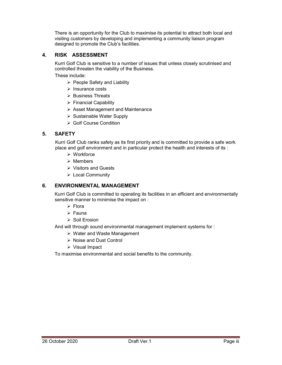There is an opportunity for the Club to maximise its potential to attract both local and visiting customers by developing and implementing a community liaison program designed to promote the Club's facilities.

#### 4. RISK ASSESSMENT

Kurri Golf Club is sensitive to a number of issues that unless closely scrutinised and controlled threaten the viability of the Business.

These include:

- $\triangleright$  People Safety and Liability
- $\triangleright$  Insurance costs
- $\triangleright$  Business Threats
- $\triangleright$  Financial Capability
- $\triangleright$  Asset Management and Maintenance
- $\triangleright$  Sustainable Water Supply
- **► Golf Course Condition**

#### 5. SAFETY

Kurri Golf Club ranks safety as its first priority and is committed to provide a safe work place and golf environment and in particular protect the health and interests of its :

- Workforce
- $\triangleright$  Members
- $\triangleright$  Visitors and Guests
- Local Community

#### 6. ENVIRONMENTAL MANAGEMENT

Kurri Golf Club is committed to operating its facilities in an efficient and environmentally sensitive manner to minimise the impact on :

- $\triangleright$  Flora
- $\triangleright$  Fauna
- $\triangleright$  Soil Erosion

And will through sound environmental management implement systems for :

- Water and Waste Management
- ▶ Noise and Dust Control
- Visual Impact

To maximise environmental and social benefits to the community.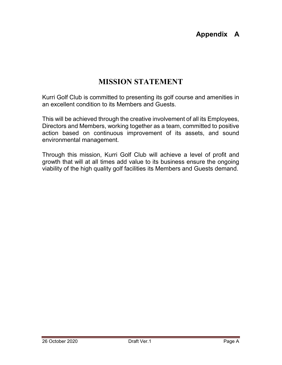## Appendix A

## MISSION STATEMENT

Kurri Golf Club is committed to presenting its golf course and amenities in an excellent condition to its Members and Guests.

This will be achieved through the creative involvement of all its Employees, Directors and Members, working together as a team, committed to positive action based on continuous improvement of its assets, and sound environmental management.

Through this mission, Kurri Golf Club will achieve a level of profit and growth that will at all times add value to its business ensure the ongoing viability of the high quality golf facilities its Members and Guests demand.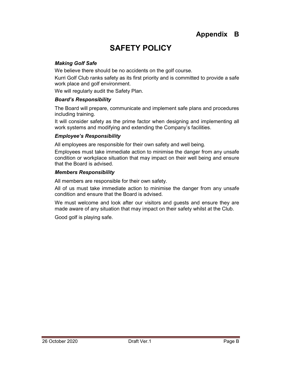## Appendix B

## SAFETY POLICY

#### Making Golf Safe

We believe there should be no accidents on the golf course.

Kurri Golf Club ranks safety as its first priority and is committed to provide a safe work place and golf environment.

We will regularly audit the Safety Plan.

#### Board's Responsibility

The Board will prepare, communicate and implement safe plans and procedures including training.

It will consider safety as the prime factor when designing and implementing all work systems and modifying and extending the Company's facilities.

#### Employee's Responsibility

All employees are responsible for their own safety and well being.

Employees must take immediate action to minimise the danger from any unsafe condition or workplace situation that may impact on their well being and ensure that the Board is advised.

#### Members Responsibility

All members are responsible for their own safety.

All of us must take immediate action to minimise the danger from any unsafe condition and ensure that the Board is advised.

We must welcome and look after our visitors and guests and ensure they are made aware of any situation that may impact on their safety whilst at the Club.

Good golf is playing safe.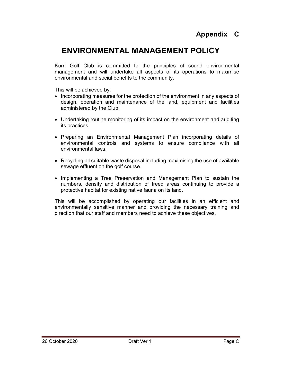## Appendix C

## ENVIRONMENTAL MANAGEMENT POLICY

Kurri Golf Club is committed to the principles of sound environmental management and will undertake all aspects of its operations to maximise environmental and social benefits to the community.

This will be achieved by:

- Incorporating measures for the protection of the environment in any aspects of design, operation and maintenance of the land, equipment and facilities administered by the Club.
- Undertaking routine monitoring of its impact on the environment and auditing its practices.
- Preparing an Environmental Management Plan incorporating details of environmental controls and systems to ensure compliance with all environmental laws.
- Recycling all suitable waste disposal including maximising the use of available sewage effluent on the golf course.
- Implementing a Tree Preservation and Management Plan to sustain the numbers, density and distribution of treed areas continuing to provide a protective habitat for existing native fauna on its land.

This will be accomplished by operating our facilities in an efficient and environmentally sensitive manner and providing the necessary training and direction that our staff and members need to achieve these objectives.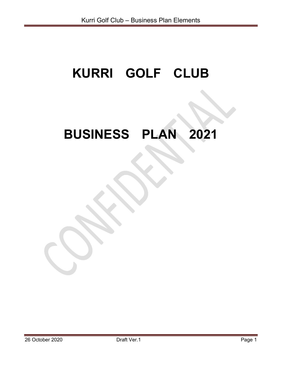# KURRI GOLF CLUB

# BUSINESS PLAN 2021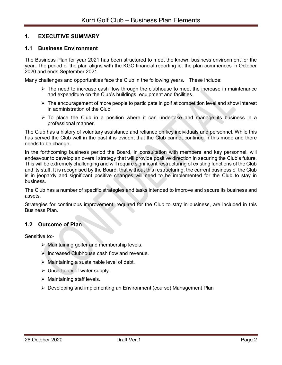#### 1. EXECUTIVE SUMMARY

#### 1.1 Business Environment

The Business Plan for year 2021 has been structured to meet the known business environment for the year. The period of the plan aligns with the KGC financial reporting ie. the plan commences in October 2020 and ends September 2021.

Many challenges and opportunities face the Club in the following years. These include:

- $\triangleright$  The need to increase cash flow through the clubhouse to meet the increase in maintenance and expenditure on the Club's buildings, equipment and facilities.
- $\triangleright$  The encouragement of more people to participate in golf at competition level and show interest in administration of the Club.
- $\triangleright$  To place the Club in a position where it can undertake and manage its business in a professional manner.

The Club has a history of voluntary assistance and reliance on key individuals and personnel. While this has served the Club well in the past it is evident that the Club cannot continue in this mode and there needs to be change.

In the forthcoming business period the Board, in consultation with members and key personnel, will endeavour to develop an overall strategy that will provide positive direction in securing the Club's future. This will be extremely challenging and will require significant restructuring of existing functions of the Club and its staff. It is recognised by the Board, that without this restructuring, the current business of the Club is in jeopardy and significant positive changes will need to be implemented for the Club to stay in business.

The Club has a number of specific strategies and tasks intended to improve and secure its business and assets.

Strategies for continuous improvement, required for the Club to stay in business, are included in this Business Plan.

#### 1.2 Outcome of Plan

Sensitive to:-

- Maintaining golfer and membership levels.
- $\triangleright$  Increased Clubhouse cash flow and revenue.
- $\triangleright$  Maintaining a sustainable level of debt.
- $\triangleright$  Uncertainty of water supply.
- $\triangleright$  Maintaining staff levels.
- Developing and implementing an Environment (course) Management Plan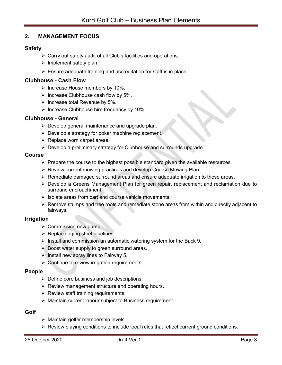#### 2. MANAGEMENT FOCUS

#### Safety

- $\triangleright$  Carry out safety audit of all Club's facilities and operations.
- $\triangleright$  Implement safety plan.
- $\triangleright$  Ensure adequate training and accreditation for staff is in place.

#### Clubhouse - Cash Flow

- $\triangleright$  Increase House members by 10%.
- $\triangleright$  Increase Clubhouse cash flow by 5%.
- $\triangleright$  Increase total Revenue by 5%.
- $\triangleright$  Increase Clubhouse hire frequency by 10%.

#### Clubhouse - General

- $\triangleright$  Develop general maintenance and upgrade plan.
- $\triangleright$  Develop a strategy for poker machine replacement.
- $\triangleright$  Replace worn carpet areas.
- $\triangleright$  Develop a preliminary strategy for Clubhouse and surrounds upgrade.

#### Course

- $\triangleright$  Prepare the course to the highest possible standard given the available resources.
- ▶ Review current mowing practices and develop Course Mowing Plan.
- $\triangleright$  Remediate damaged surround areas and ensure adequate irrigation to these areas.
- Develop a Greens Management Plan for green repair, replacement and reclamation due to surround encroachment.
- $\triangleright$  Isolate areas from cart and course vehicle movements.
- $\triangleright$  Remove stumps and tree roots and remediate stone areas from within and directly adjacent to fairways.

#### Irrigation

- $\triangleright$  Commission new pump.
- $\triangleright$  Replace aging steel pipelines.
- $\triangleright$  Install and commission an automatic watering system for the Back 9.
- $\triangleright$  Boost water supply to green surround areas.
- $\triangleright$  Install new spray lines to Fairway 5.
- $\triangleright$  Continue to review irrigation requirements.

#### People

- $\triangleright$  Define core business and job descriptions.
- $\triangleright$  Review management structure and operating hours.
- $\triangleright$  Review staff training requirements.
- $\triangleright$  Maintain current labour subject to Business requirement.

#### Golf

- $\triangleright$  Maintain golfer membership levels.
- $\triangleright$  Review playing conditions to include local rules that reflect current ground conditions.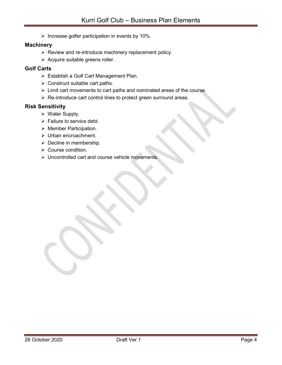$\triangleright$  Increase golfer participation in events by 10%.

#### **Machinery**

- $\triangleright$  Review and re-introduce machinery replacement policy.
- $\triangleright$  Acquire suitable greens roller.

#### Golf Carts

- Establish a Golf Cart Management Plan.
- $\triangleright$  Construct suitable cart paths.
- $\triangleright$  Limit cart movements to cart paths and nominated areas of the course.
- $\triangleright$  Re-introduce cart control lines to protect green surround areas.

#### Risk Sensitivity

- $\triangleright$  Water Supply.
- $\triangleright$  Failure to service debt.
- $\triangleright$  Member Participation.
- > Urban encroachment.
- $\triangleright$  Decline in membership.
- ▶ Course condition.
- Uncontrolled cart and course vehicle movements.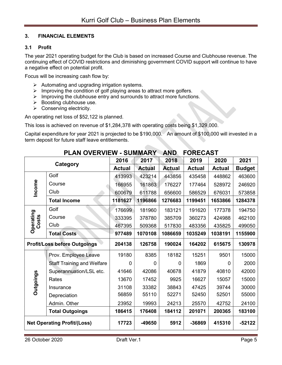#### 3. FINANCIAL ELEMENTS

#### 3.1 Profit

The year 2021 operating budget for the Club is based on increased Course and Clubhouse revenue. The continuing effect of COVID restrictions and diminishing government COVID support will continue to have a negative effect on potential profit.

Focus will be increasing cash flow by:

- $\triangleright$  Automating and upgrading irrigation systems.
- $\triangleright$  Improving the condition of golf playing areas to attract more golfers.
- $\triangleright$  Improving the clubhouse entry and surrounds to attract more functions.
- $\triangleright$  Boosting clubhouse use.
- $\triangleright$  Conserving electricity.

An operating net loss of \$52,122 is planned.

This loss is achieved on revenue of \$1,284,378 with operating costs being \$1,329,000.

Capital expenditure for year 2021 is projected to be \$190,000. An amount of \$100,000 will invested in a term deposit for future staff leave entitlements.

|                    | FLAN OVLINVILVY – JOIVIIVIANIN<br>mΝν |               | I UNLYAJ I    |               |               |               |               |
|--------------------|---------------------------------------|---------------|---------------|---------------|---------------|---------------|---------------|
|                    | Category                              |               | 2017          | 2018          | 2019          | 2020          | 2021          |
|                    |                                       | <b>Actual</b> | <b>Actual</b> | <b>Actual</b> | <b>Actual</b> | <b>Actual</b> | <b>Budget</b> |
|                    | Golf                                  | 413993        | 423214        | 443856        | 435458        | 448862        | 463600        |
| Income             | Course                                | 166955        | 161863        | 176227        | 177464        | 528972        | 246920        |
|                    | Club                                  | 600679        | 611788        | 656600        | 586529        | 676031        | 573858        |
|                    | <b>Total Income</b>                   | 1181627       | 1196866       | 1276683       | 1199451       | 1653866       | 1284378       |
|                    | Golf                                  | 176699        | 181960        | 183121        | 191620        | 177378        | 194750        |
| Operating<br>Costs | Course                                | 333395        | 378780        | 385709        | 360273        | 424988        | 462100        |
|                    | Club                                  | 467395        | 509368        | 517830        | 483356        | 435825        | 499050        |
|                    | <b>Total Costs</b>                    | 977489        | 1070108       | 1086659       | 1035249       | 1038191       | 1155900       |
|                    | <b>Profit/Loss before Outgoings</b>   | 204138        | 126758        | 190024        | 164202        | 615675        | 130978        |
|                    | Prov. Employee Leave                  | 19180         | 8385          | 18182         | 15251         | 9501          | 15000         |
|                    | <b>Staff Training and Welfare</b>     | 0             | 0             | 0             | 1869          | 0             | 2000          |
|                    | Superannuation/LSL etc.               | 41646         | 42086         | 40678         | 41879         | 40810         | 42000         |
| <b>Putgoings</b>   | Rates                                 | 13670         | 17452         | 9925          | 16627         | 15057         | 15000         |
|                    | Insurance                             | 31108         | 33382         | 38843         | 47425         | 39744         | 30000         |
|                    | Depreciation                          | 56859         | 55110         | 52271         | 52450         | 52501         | 55000         |
|                    | Admin. Other                          | 23952         | 19993         | 24213         | 25570         | 42752         | 24100         |
|                    | <b>Total Outgoings</b>                | 186415        | 176408        | 184112        | 201071        | 200365        | 183100        |
|                    | <b>Net Operating Profit/(Loss)</b>    | 17723         | -49650        | 5912          | -36869        | 415310        | $-52122$      |

### DI AN OVERVIEW SUMMARY AND FORECAST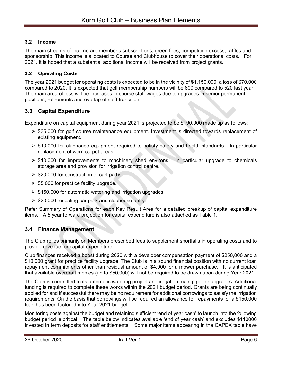#### 3.2 Income

The main streams of income are member's subscriptions, green fees, competition excess, raffles and sponsorship. This income is allocated to Course and Clubhouse to cover their operational costs. For 2021, it is hoped that a substantial additional income will be received from project grants.

#### 3.2 Operating Costs

The year 2021 budget for operating costs is expected to be in the vicinity of \$1,150,000, a loss of \$70,000 compared to 2020. It is expected that golf membership numbers will be 600 compared to 520 last year. The main area of loss will be increases in course staff wages due to upgrades in senior permanent positions, retirements and overlap of staff transition.

#### 3.3 Capital Expenditure

Expenditure on capital equipment during year 2021 is projected to be \$190,000 made up as follows:

- $\ge$  \$35,000 for golf course maintenance equipment. Investment is directed towards replacement of existing equipment.
- $\triangleright$  \$10,000 for clubhouse equipment required to satisfy safety and health standards. In particular replacement of worn carpet areas.
- $\triangleright$  \$10,000 for improvements to machinery shed environs. In particular upgrade to chemicals storage area and provision for irrigation control centre.
- $\geq$  \$20,000 for construction of cart paths.
- $\ge$  \$5,000 for practice facility upgrade.
- $\geq$  \$150,000 for automatic watering and irrigation upgrades.
- $\geq$  \$20,000 resealing car park and clubhouse entry.

Refer Summary of Operations for each Key Result Area for a detailed breakup of capital expenditure items. A 5 year forward projection for capital expenditure is also attached as Table 1.

#### 3.4 Finance Management

The Club relies primarily on Members prescribed fees to supplement shortfalls in operating costs and to provide revenue for capital expenditure.

Club finances received a boost during 2020 with a developer compensation payment of \$250,000 and a \$10,000 grant for practice facility upgrade. The Club is in a sound financial position with no current loan repayment commitments other than residual amount of \$4,000 for a mower purchase. It is anticipated that available overdraft monies (up to \$50,000) will not be required to be drawn upon during Year 2021.

The Club is committed to its automatic watering project and irrigation main pipeline upgrades. Additional funding is required to complete these works within the 2021 budget period. Grants are being continually applied for and if successful there may be no requirement for additional borrowings to satisfy the irrigation requirements. On the basis that borrowings will be required an allowance for repayments for a \$150,000 loan has been factored into Year 2021 budget.

Monitoring costs against the budget and retaining sufficient 'end of year cash' to launch into the following budget period is critical. The table below indicates available 'end of year cash' and excludes \$110000 invested in term deposits for staff entitlements. Some major items appearing in the CAPEX table have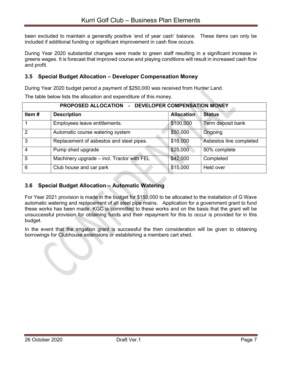been excluded to maintain a generally positive 'end of year cash' balance. These items can only be included if additional funding or significant improvement in cash flow occurs.

During Year 2020 substantial changes were made to green staff resulting in a significant increase in greens wages. It is forecast that improved course and playing conditions will result in increased cash flow and profit.

#### 3.5 Special Budget Allocation – Developer Compensation Money

During Year 2020 budget period a payment of \$250,000 was received from Hunter Land.

The table below lists the allocation and expenditure of this money.

|               | PROPOSED ALLOCATION - DEVELOPER COMPENSATION MONEY |                   |                         |  |  |  |  |
|---------------|----------------------------------------------------|-------------------|-------------------------|--|--|--|--|
| Item#         | <b>Description</b>                                 | <b>Allocation</b> | <b>Status</b>           |  |  |  |  |
|               | Employees leave entitlements.                      | \$100,000         | Term deposit bank       |  |  |  |  |
| $\mathcal{P}$ | Automatic course watering system                   | \$50,000          | Ongoing                 |  |  |  |  |
| 3             | Replacement of asbestos and steel pipes.           | \$18,000          | Asbestos line completed |  |  |  |  |
| 4             | Pump shed upgrade                                  | \$25,000          | 50% complete            |  |  |  |  |
| 5             | Machinery upgrade - incl. Tractor with FEL         | \$42,000          | Completed               |  |  |  |  |
| 6             | Club house and car park                            | \$15,000          | Held over               |  |  |  |  |

#### 3.6 Special Budget Allocation – Automatic Watering

For Year 2021 provision is made in the budget for \$150,000 to be allocated to the installation of G Wave automatic watering and replacement of all steel pipe mains. Application for a government grant to fund these works has been made. KGC is committed to these works and on the basis that the grant will be unsuccessful provision for obtaining funds and their repayment for this to occur is provided for in this budget.

In the event that the irrigation grant is successful the then consideration will be given to obtaining borrowings for Clubhouse extensions or establishing a members cart shed.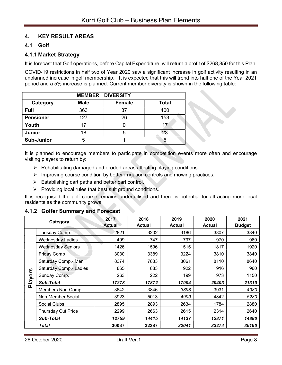#### 4. KEY RESULT AREAS

#### 4.1 Golf

#### 4.1.1 Market Strategy

It is forecast that Golf operations, before Capital Expenditure, will return a profit of \$268,850 for this Plan.

COVID-19 restrictions in half two of Year 2020 saw a significant increase in golf activity resulting in an unplanned increase in golf membership. It is expected that this will trend into half one of the Year 2021 period and a 5% increase is planned. Current member diversity is shown in the following table:

|                   |             | <b>MEMBER DIVERSITY</b> |              |
|-------------------|-------------|-------------------------|--------------|
| Category          | <b>Male</b> | <b>Female</b>           | <b>Total</b> |
| <b>Full</b>       | 363         | 37                      | 400          |
| <b>Pensioner</b>  | 127         | 26                      | 153          |
| Youth             | 17          |                         | 17           |
| <b>Junior</b>     | 18          | 5                       | 23           |
| <b>Sub-Junior</b> | 5           |                         | 6            |

It is planned to encourage members to participate in competition events more often and encourage visiting players to return by:

- $\triangleright$  Rehabilitating damaged and eroded areas affecting playing conditions.
- $\triangleright$  Improving course condition by better irrigation controls and mowing practices.
- $\triangleright$  Establishing cart paths and better cart control.
- $\triangleright$  Providing local rules that best suit ground conditions.

It is recognised the golf course remains underutilised and there is potential for attracting more local residents as the community grows.

#### 4.1.2 Golfer Summary and Forecast

| Category |                          | 2017          | 2018          | 2019<br>2020  |               | 2021          |
|----------|--------------------------|---------------|---------------|---------------|---------------|---------------|
|          |                          | <b>Actual</b> | <b>Actual</b> | <b>Actual</b> | <b>Actual</b> | <b>Budget</b> |
|          | Tuesday Comp.            | 2821          | 3202          | 3186          | 3807          | 3840          |
|          | Wednesdav Ladies         | 499           | 747           | 797           | 970           | 960           |
|          | <b>Wednesday Seniors</b> | 1426          | 1596          | 1515          | 1817          | 1920          |
|          | <b>Friday Comp</b>       | 3030          | 3389          | 3224          | 3810          | 3840          |
|          | Saturday Comp.- Men      | 8374          | 7833          | 8061          | 8110          | 8640          |
| ပ္ပ      | Saturday Comp.- Ladies   | 865           | 883           | 922           | 916           | 960           |
|          | Sunday Comp.             | 263           | 222           | 199           | 973           | 1150          |
| Player   | <b>Sub-Total</b>         | 17278         | 17872         | 17904         | 20403         | 21310         |
|          | Members Non-Comp.        | 3642          | 3846          | 3898          | 3931          | 4080          |
|          | Non-Member Social        | 3923          | 5013          | 4990          | 4842          | 5280          |
|          | Social Clubs             | 2895          | 2893          | 2634          | 1784          | 2880          |
|          | Thursday Cut Price       | 2299          | 2663          | 2615          | 2314          | 2640          |
|          | <b>Sub-Total</b>         | 12759         | 14415         | 14137         | 12871         | 14880         |
|          | Total                    | 30037         | 32287         | 32041         | 33274         | 36190         |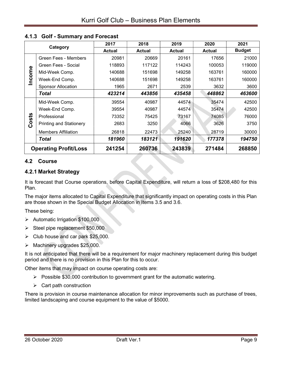|       |                                | 2017   | 2018   | 2019          | 2020          | 2021          |
|-------|--------------------------------|--------|--------|---------------|---------------|---------------|
|       | Category                       | Actual | Actual | <b>Actual</b> | <b>Actual</b> | <b>Budget</b> |
|       | Green Fees - Members           | 20981  | 20669  | 20161         | 17656         | 21000         |
| Φ     | Green Fees - Social            | 118893 | 117122 | 114243        | 100053        | 119000        |
|       | Mid-Week Comp.                 | 140688 | 151698 | 149258        | 163761        | 160000        |
| Incom | Week-End Comp.                 | 140688 | 151698 | 149258        | 163761        | 160000        |
|       | <b>Sponsor Allocation</b>      | 1965   | 2671   | 2539          | 3632          | 3600          |
|       | Total                          | 423214 | 443856 | 435458        | 448862        | 463600        |
|       | Mid-Week Comp.                 | 39554  | 40987  | 44574         | 35474         | 42500         |
|       | Week-End Comp.                 | 39554  | 40987  | 44574         | 35474         | 42500         |
|       | Professional                   | 73352  | 75425  | 73167         | 74085         | 76000         |
| Costs | <b>Printing and Stationery</b> | 2683   | 3250   | 4066          | 3626          | 3750          |
|       | <b>Members Affiliation</b>     | 26818  | 22473  | 25240         | 28719         | 30000         |
|       | Total                          | 181960 | 183121 | 191620        | 177378        | 194750        |
|       | <b>Operating Profit/Loss</b>   | 241254 | 260736 | 243839        | 271484        | 268850        |

#### 4.1.3 Golf - Summary and Forecast

#### 4.2 Course

#### 4.2.1 Market Strategy

It is forecast that Course operations, before Capital Expenditure, will return a loss of \$208,480 for this Plan.

The major items allocated to Capital Expenditure that significantly impact on operating costs in this Plan are those shown in the Special Budget Allocation in Items 3.5 and 3.6.

These being:

- $\blacktriangleright$  Automatic Irrigation \$100,000
- $\triangleright$  Steel pipe replacement \$50,000
- $\triangleright$  Club house and car park \$25,000.
- $\triangleright$  Machinery upgrades \$25,000.

It is not anticipated that there will be a requirement for major machinery replacement during this budget period and there is no provision in this Plan for this to occur.

Other items that may impact on course operating costs are:

- $\triangleright$  Possible \$30,000 contribution to government grant for the automatic watering.
- $\triangleright$  Cart path construction

There is provision in course maintenance allocation for minor improvements such as purchase of trees, limited landscaping and course equipment to the value of \$5000.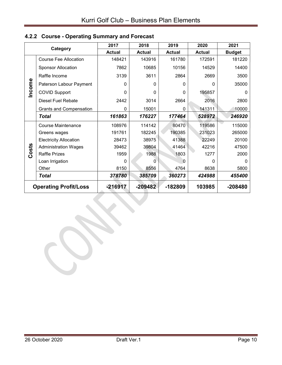|        |                                | 2017          | 2018          | 2019          | 2020          | 2021          |
|--------|--------------------------------|---------------|---------------|---------------|---------------|---------------|
|        | Category                       | <b>Actual</b> | <b>Actual</b> | <b>Actual</b> | <b>Actual</b> | <b>Budget</b> |
|        | <b>Course Fee Allocation</b>   | 148421        | 143916        | 161780        | 172591        | 181220        |
|        | <b>Sponsor Allocation</b>      | 7862          | 10685         | 10156         | 14529         | 14400         |
|        | Raffle Income                  | 3139          | 3611          | 2864          | 2669          | 3500          |
|        | Paterson Labour Payment        | 0             | 0             | 0             | 0             | 35000         |
| Income | <b>COVID Support</b>           | 0             | $\Omega$      | 0             | 195857        | 0             |
|        | Diesel Fuel Rebate             | 2442          | 3014          | 2664          | 2016          | 2800          |
|        | <b>Grants and Compensation</b> | 0             | 15001         | 0             | 141311        | 10000         |
|        | Total                          | 161863        | 176227        | 177464        | 528972        | 246920        |
|        | <b>Course Maintenance</b>      | 108976        | 114142        | 80470         | 119586        | 115000        |
|        | Greens wages                   | 191761        | 182245        | 190385        | 231023        | 265000        |
|        | <b>Electricity Allocation</b>  | 28473         | 38975         | 41388         | 22249         | 20100         |
|        | <b>Administration Wages</b>    | 39462         | 39804         | 41464         | 42216         | 47500         |
| Costs  | <b>Raffle Prizes</b>           | 1959          | 1988          | 1803          | 1277          | 2000          |
|        | Loan Irrigation                | 0             | O             | O             | U             | 0             |
|        | Other                          | 8150          | 8556          | 4764          | 8638          | 5800          |
|        | Total                          | 378780        | 385709        | 360273        | 424988        | 455400        |
|        | <b>Operating Profit/Loss</b>   | $-216917$     | $-209482$     | -182809       | 103985        | -208480       |

## 4.2.2 Course - Operating Summary and Forecast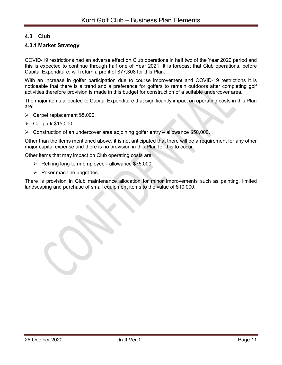#### 4.3 Club

#### 4.3.1 Market Strategy

COVID-19 restrictions had an adverse effect on Club operations in half two of the Year 2020 period and this is expected to continue through half one of Year 2021. It is forecast that Club operations, before Capital Expenditure, will return a profit of \$77,308 for this Plan.

With an increase in golfer participation due to course improvement and COVID-19 restrictions it is noticeable that there is a trend and a preference for golfers to remain outdoors after completing golf activities therefore provision is made in this budget for construction of a suitable undercover area.

The major items allocated to Capital Expenditure that significantly impact on operating costs in this Plan are:

- $\triangleright$  Carpet replacement \$5,000.
- $\triangleright$  Car park \$15,000.
- $\triangleright$  Construction of an undercover area adjoining golfer entry allowance \$50,000.

Other than the items mentioned above, it is not anticipated that there will be a requirement for any other major capital expense and there is no provision in this Plan for this to occur.

Other items that may impact on Club operating costs are:

- $\triangleright$  Retiring long term employee allowance \$75,000.
- $\triangleright$  Poker machine upgrades.

There is provision in Club maintenance allocation for minor improvements such as painting, limited landscaping and purchase of small equipment items to the value of \$10,000.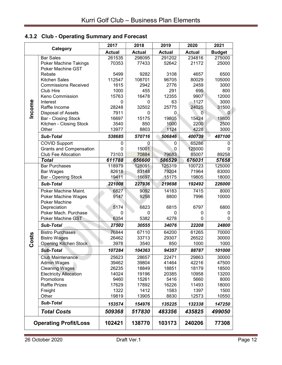## 4.3.2 Club - Operating Summary and Forecast

|        | Category                       | 2017          | 2018          | 2019          | 2020           | 2021          |
|--------|--------------------------------|---------------|---------------|---------------|----------------|---------------|
|        |                                | <b>Actual</b> | <b>Actual</b> | <b>Actual</b> | <b>Actual</b>  | <b>Budget</b> |
|        | <b>Bar Sales</b>               | 261535        | 298095        | 291202        | 234816         | 275000        |
|        | <b>Poker Machine Takings</b>   | 70353         | 77433         | 52642         | 21172          | 25000         |
|        | Poker Machine GST              |               |               |               |                |               |
|        | Rebate                         | 5499          | 9282          | 3108          | 4657           | 6500          |
|        | <b>Kitchen Sales</b>           | 112547        | 108701        | 96705         | 80029          | 105000        |
|        | <b>Commissions Received</b>    | 1615          | 2942          | 2776          | 2459           | 3000          |
|        | Club Hire                      | 1000          | 455           | 291           | 695            | 800           |
|        | Keno Commission                | 15763         | 16478         | 12355         | 9907           | 12000         |
| Income | Interest                       | $\mathbf{0}$  | $\Omega$      | 63            | 1127           | 3000          |
|        | Raffle Income                  | 28248         | 32502         | 25775         | 24025          | 31500         |
|        | <b>Disposal of Assets</b>      | 7911          | $\Omega$      | 0             | $\overline{0}$ | 0             |
|        | Bar - Closing Stock            | 16697         | 15175         | 19805         | 15424          | 19800         |
|        | Kitchen - Closing Stock        | 3540          | 850           | 1000          | 2200           | 2500          |
|        | Other                          | 13977         | 8803          | 1124          | 4228           | 3000          |
|        | <b>Sub-Total</b>               | 538685        | 570716        | 506846        | 400739         | 487100        |
|        | <b>COVID Support</b>           | 0             | $\Omega$      | 0             | 65286          | 0             |
|        | <b>Grants and Compensation</b> | 0             | 15001         | 0             | 125000         | 0             |
|        | <b>Club Fee Allocation</b>     | 73103         | 70884         | 79683         | 85007          | 89258         |
|        | <b>Total</b>                   | 611788        | 656600        | 586529        | 676031         | 57658         |
|        | <b>Bar Purchases</b>           | 118979        | 128091        | 125319        | 100723         | 125000        |
|        | Bar Wages                      | 82618         | 83148         | 79204         | 71964          | 83000         |
|        | <b>Bar - Opening Stock</b>     | 19411         | 16697         | 15175         | 19805          | 18000         |
|        | <b>Sub-Total</b>               | 221008        | 227936        | 219698        | 192492         | 226000        |
|        | Poker Machine Maint.           | 6827          | 9092          | 14183         | 7415           | 8000          |
|        | Poker Machine Wages            | 9147          | 9258          | 8800          | 7996           | 10000         |
|        | <b>Poker Machine</b>           |               |               |               |                |               |
|        | Depreciation                   | 5174          | 6823          | 6815          | 6797           | 6800          |
|        | Poker Mach. Purchase           | 0             | $\mathbf{0}$  | 0             | 0              | 0             |
|        | Poker Machine GST              | 6354          | 5382          | 4278          | 0              | 0             |
|        | <b>Sub-Total</b>               | 27502         | 30555         | 34076         | 22208          | 24800         |
|        | <b>Bistro Purchases</b>        | 76844         | 67110         | 64200         | 61265          | 70000         |
| Costs  | <b>Bistro Wages</b>            | 26462         | 33713         | 29307         | 26522          | 30000         |
|        | <b>Opening Kitchen Stock</b>   | 3978          | 3540          | 850           | 1000           | 1000          |
|        | <b>Sub-Total</b>               | 107284        | 104363        | 94357         | 88787          | 101000        |
|        | <b>Club Maintenance</b>        | 25623         | 28657         | 22471         | 29863          | 30000         |
|        | <b>Admin Wages</b>             | 39462         | 39804         | 41464         | 42216          | 47500         |
|        | <b>Cleaning Wages</b>          | 26235         | 18849         | 18851         | 18179          | 18500         |
|        | <b>Electricity Allocation</b>  | 14024         | 19196         | 20385         | 10958          | 13200         |
|        | Promotions                     | 9460          | 15261         | 5416          | 5660           | 8000          |
|        | <b>Raffle Prizes</b>           | 17629         | 17892         | 16226         | 11493          | 18000         |
|        | Freight                        | 1322          | 1412          | 1583          | 1397           | 1500          |
|        | Other                          | 19819         | 13905         | 8830          | 12573          | 10550         |
|        | <b>Sub-Total</b>               | 153574        | 154976        | 135225        | 132338         | 147250        |
|        | <b>Total Costs</b>             | 509368        | 517830        | 483356        | 435825         | 499050        |
|        | <b>Operating Profit/Loss</b>   | 102421        | 138770        | 103173        | 240206         | 77308         |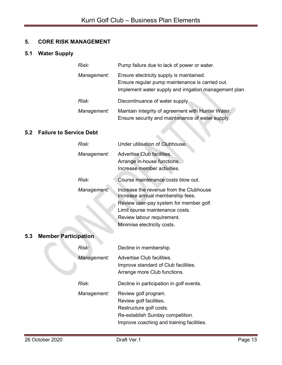#### 5. CORE RISK MANAGEMENT

#### 5.1 Water Supply

| Risk:       | Pump failure due to lack of power or water.                                                                                                           |
|-------------|-------------------------------------------------------------------------------------------------------------------------------------------------------|
| Management: | Ensure electricity supply is maintained.<br>Ensure regular pump maintenance is carried out.<br>Implement water supply and irrigation management plan. |
| Risk:       | Discontinuance of water supply.                                                                                                                       |
| Management: | Maintain integrity of agreement with Hunter Water.<br>Ensure security and maintenance of water supply.                                                |

#### 5.2 Failure to Service Debt

| Risk:       | Under utilisation of Clubhouse.                                                          |
|-------------|------------------------------------------------------------------------------------------|
| Management: | Advertise Club facilities.<br>Arrange in-house functions.<br>Increase member activities. |
| Risk:       | Course maintenance costs blow out.                                                       |
| Management: | Increase the revenue from the Clubhouse<br>Increase annual membership fees.              |
|             | Review user-pay system for member golf.                                                  |
|             | Limit course maintenance costs.                                                          |
|             | Review labour requirement.                                                               |
|             | Minimise electricity costs.                                                              |

#### 5.3 Member Participation

| Risk:       | Decline in membership.                                                                                                                                      |
|-------------|-------------------------------------------------------------------------------------------------------------------------------------------------------------|
| Management: | Advertise Club facilities.<br>Improve standard of Club facilities.<br>Arrange more Club functions.                                                          |
| Risk:       | Decline in participation in golf events.                                                                                                                    |
| Management: | Review golf program.<br>Review golf facilities.<br>Restructure golf costs.<br>Re-establish Sunday competition.<br>Improve coaching and training facilities. |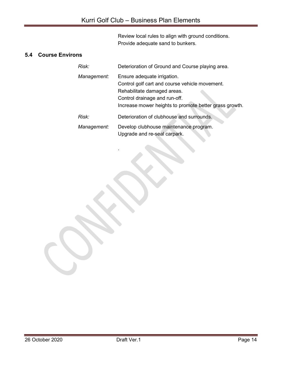Review local rules to align with ground conditions. Provide adequate sand to bunkers.

#### 5.4 Course Environs

.

| Risk:       | Deterioration of Ground and Course playing area.                                                                                                                                                        |
|-------------|---------------------------------------------------------------------------------------------------------------------------------------------------------------------------------------------------------|
| Management: | Ensure adequate irrigation.<br>Control golf cart and course vehicle movement.<br>Rehabilitate damaged areas.<br>Control drainage and run-off.<br>Increase mower heights to promote better grass growth. |
| Risk:       | Deterioration of clubhouse and surrounds.                                                                                                                                                               |
| Management: | Develop clubhouse maintenance program.<br>Upgrade and re-seal carpark.                                                                                                                                  |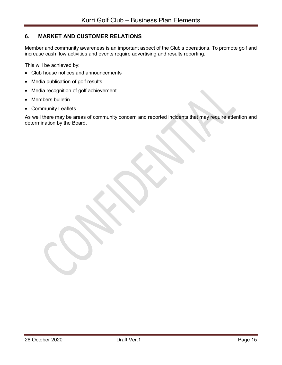#### 6. MARKET AND CUSTOMER RELATIONS

Member and community awareness is an important aspect of the Club's operations. To promote golf and increase cash flow activities and events require advertising and results reporting.

This will be achieved by:

- Club house notices and announcements
- Media publication of golf results
- Media recognition of golf achievement
- Members bulletin
- Community Leaflets

As well there may be areas of community concern and reported incidents that may require attention and determination by the Board.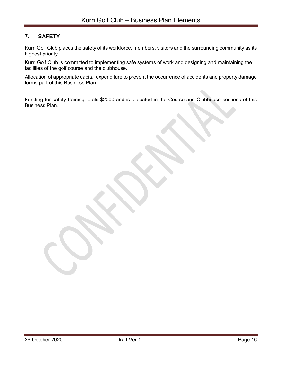#### 7. SAFETY

Kurri Golf Club places the safety of its workforce, members, visitors and the surrounding community as its highest priority.

Kurri Golf Club is committed to implementing safe systems of work and designing and maintaining the facilities of the golf course and the clubhouse.

Allocation of appropriate capital expenditure to prevent the occurrence of accidents and property damage forms part of this Business Plan.

Funding for safety training totals \$2000 and is allocated in the Course and Clubhouse sections of this Business Plan.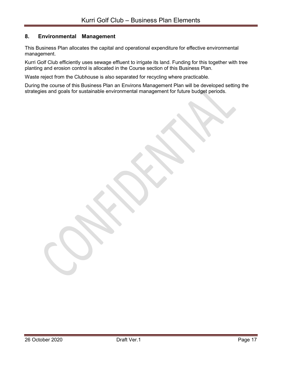#### 8. Environmental Management

This Business Plan allocates the capital and operational expenditure for effective environmental management.

Kurri Golf Club efficiently uses sewage effluent to irrigate its land. Funding for this together with tree planting and erosion control is allocated in the Course section of this Business Plan.

Waste reject from the Clubhouse is also separated for recycling where practicable.

During the course of this Business Plan an Environs Management Plan will be developed setting the strategies and goals for sustainable environmental management for future budget periods.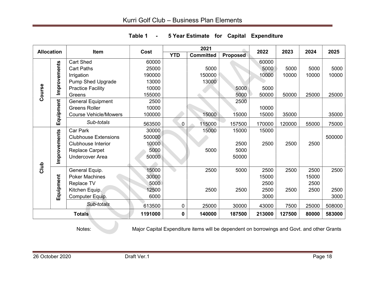| <b>Allocation</b> |              | <b>Item</b>                  | Cost    |              | 2021             |                 | 2022   | 2023   | 2024  | 2025   |
|-------------------|--------------|------------------------------|---------|--------------|------------------|-----------------|--------|--------|-------|--------|
|                   |              |                              |         | <b>YTD</b>   | <b>Committed</b> | <b>Proposed</b> |        |        |       |        |
|                   |              | <b>Cart Shed</b>             | 60000   |              |                  |                 | 60000  |        |       |        |
|                   |              | <b>Cart Paths</b>            | 25000   |              | 5000             |                 | 5000   | 5000   | 5000  | 5000   |
|                   |              | Irrigation                   | 190000  |              | 150000           |                 | 10000  | 10000  | 10000 | 10000  |
|                   | Improvements | <b>Pump Shed Upgrade</b>     | 13000   |              | 13000            |                 |        |        |       |        |
|                   |              | <b>Practice Facility</b>     | 10000   |              |                  | 5000            | 5000   |        |       |        |
| Course            |              | Greens                       | 155000  |              |                  | 5000            | 50000  | 50000  | 25000 | 25000  |
|                   |              | <b>General Equipment</b>     | 2500    |              |                  | 2500            |        |        |       |        |
|                   |              | <b>Greens Roller</b>         | 10000   |              |                  |                 | 10000  |        |       |        |
|                   | Equipment    | <b>Course Vehicle/Mowers</b> | 100000  |              | 15000            | 15000           | 15000  | 35000  |       | 35000  |
|                   |              | Sub-totals                   | 563500  | $\mathbf{0}$ | 115000           | 157500          | 170000 | 120000 | 55000 | 75000  |
|                   |              | Car Park                     | 30000   |              | 15000            | 15000           | 15000  |        |       |        |
|                   |              | <b>Clubhouse Extensions</b>  | 500000  |              |                  |                 |        |        |       | 500000 |
|                   |              | <b>Clubhouse Interior</b>    | 10000   |              |                  | 2500            | 2500   | 2500   | 2500  |        |
|                   |              | <b>Replace Carpet</b>        | 5000    |              | 5000             | 5000            |        |        |       |        |
|                   | Improvements | <b>Undercover Area</b>       | 50000   |              |                  | 50000           |        |        |       |        |
| Club              |              |                              |         |              |                  |                 |        |        |       |        |
|                   |              | General Equip.               | 15000   |              | 2500             | 5000            | 2500   | 2500   | 2500  | 2500   |
|                   |              | <b>Poker Machines</b>        | 30000   |              |                  |                 | 15000  |        | 15000 |        |
|                   | Equipment    | <b>Replace TV</b>            | 5000    |              |                  |                 | 2500   |        | 2500  |        |
|                   |              | Kitchen Equip.               | 12500   |              | 2500             | 2500            | 2500   | 2500   | 2500  | 2500   |
|                   |              | Computer Equip.              | 6000    |              |                  |                 | 3000   |        |       | 3000   |
|                   |              | Sub-totals                   | 613500  | 0            | 25000            | 30000           | 43000  | 7500   | 25000 | 508000 |
|                   |              | <b>Totals</b>                | 1191000 | 0            | 140000           | 187500          | 213000 | 127500 | 80000 | 583000 |

Table 1 - 5 Year Estimate for Capital Expenditure

Notes: Major Capital Expenditure items will be dependent on borrowings and Govt. and other Grants